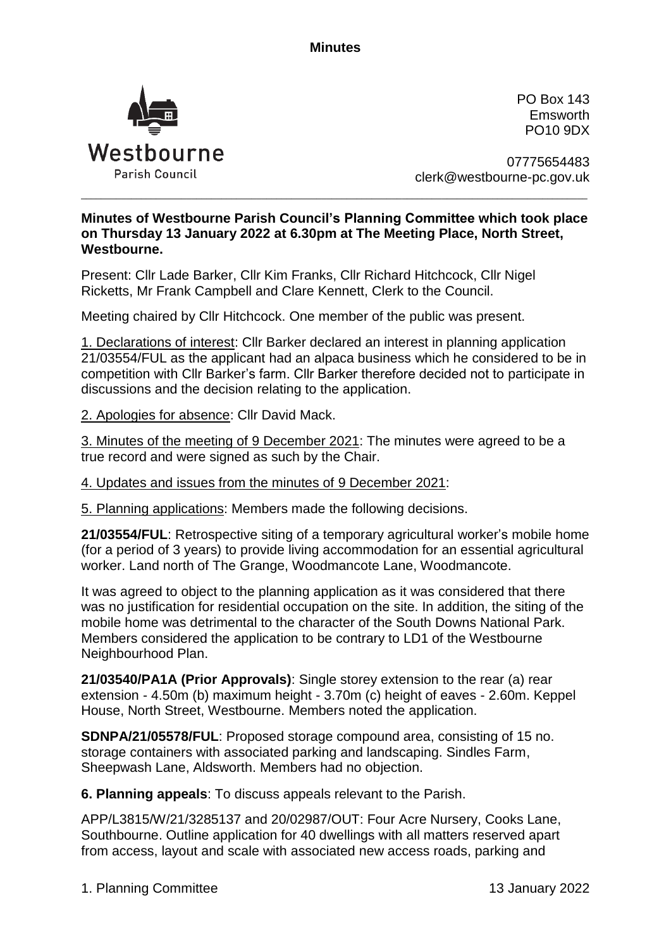**Minutes**



PO Box 143 Emsworth PO10 9DX

07775654483 clerk@westbourne-pc.gov.uk

## **Minutes of Westbourne Parish Council's Planning Committee which took place on Thursday 13 January 2022 at 6.30pm at The Meeting Place, North Street, Westbourne.**

\_\_\_\_\_\_\_\_\_\_\_\_\_\_\_\_\_\_\_\_\_\_\_\_\_\_\_\_\_\_\_\_\_\_\_\_\_\_\_\_\_\_\_\_\_\_\_\_\_\_\_\_\_\_\_\_\_\_\_\_\_\_\_\_\_\_\_\_\_\_\_\_\_\_\_\_\_\_\_\_\_\_\_\_\_\_\_\_\_\_\_\_\_\_\_\_\_\_\_\_\_

Present: Cllr Lade Barker, Cllr Kim Franks, Cllr Richard Hitchcock, Cllr Nigel Ricketts, Mr Frank Campbell and Clare Kennett, Clerk to the Council.

Meeting chaired by Cllr Hitchcock. One member of the public was present.

1. Declarations of interest: Cllr Barker declared an interest in planning application 21/03554/FUL as the applicant had an alpaca business which he considered to be in competition with Cllr Barker's farm. Cllr Barker therefore decided not to participate in discussions and the decision relating to the application.

2. Apologies for absence: Cllr David Mack.

3. Minutes of the meeting of 9 December 2021: The minutes were agreed to be a true record and were signed as such by the Chair.

4. Updates and issues from the minutes of 9 December 2021:

5. Planning applications: Members made the following decisions.

**21/03554/FUL**: Retrospective siting of a temporary agricultural worker's mobile home (for a period of 3 years) to provide living accommodation for an essential agricultural worker. Land north of The Grange, Woodmancote Lane, Woodmancote.

It was agreed to object to the planning application as it was considered that there was no justification for residential occupation on the site. In addition, the siting of the mobile home was detrimental to the character of the South Downs National Park. Members considered the application to be contrary to LD1 of the Westbourne Neighbourhood Plan.

**21/03540/PA1A (Prior Approvals)**: Single storey extension to the rear (a) rear extension - 4.50m (b) maximum height - 3.70m (c) height of eaves - 2.60m. Keppel House, North Street, Westbourne. Members noted the application.

**SDNPA/21/05578/FUL**: Proposed storage compound area, consisting of 15 no. storage containers with associated parking and landscaping. Sindles Farm, Sheepwash Lane, Aldsworth. Members had no objection.

**6. Planning appeals**: To discuss appeals relevant to the Parish.

APP/L3815/W/21/3285137 and 20/02987/OUT: Four Acre Nursery, Cooks Lane, Southbourne. Outline application for 40 dwellings with all matters reserved apart from access, layout and scale with associated new access roads, parking and